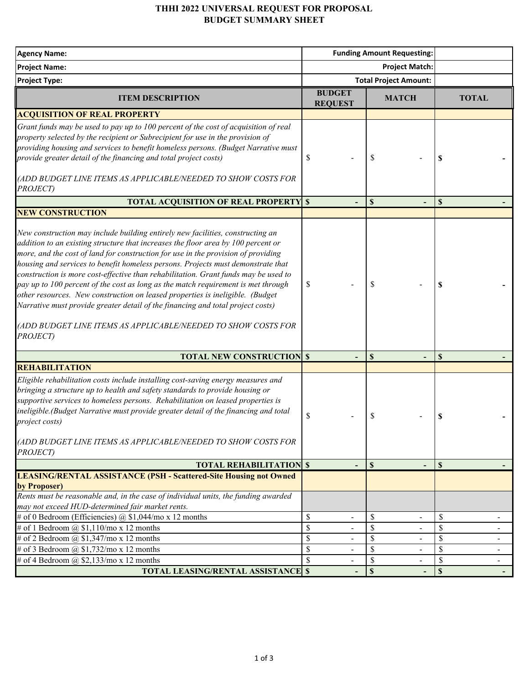## **THHI 2022 UNIVERSAL REQUEST FOR PROPOSAL BUDGET SUMMARY SHEET**

| <b>Agency Name:</b>                                                                                                                                                                                                                                                                                                                                                                                                                                                                                                                                                                                                                                                                                                                                                       | <b>Funding Amount Requesting:</b>                     |                                           |                      |
|---------------------------------------------------------------------------------------------------------------------------------------------------------------------------------------------------------------------------------------------------------------------------------------------------------------------------------------------------------------------------------------------------------------------------------------------------------------------------------------------------------------------------------------------------------------------------------------------------------------------------------------------------------------------------------------------------------------------------------------------------------------------------|-------------------------------------------------------|-------------------------------------------|----------------------|
| <b>Project Name:</b>                                                                                                                                                                                                                                                                                                                                                                                                                                                                                                                                                                                                                                                                                                                                                      | <b>Project Match:</b>                                 |                                           |                      |
| <b>Project Type:</b>                                                                                                                                                                                                                                                                                                                                                                                                                                                                                                                                                                                                                                                                                                                                                      |                                                       | <b>Total Project Amount:</b>              |                      |
| <b>ITEM DESCRIPTION</b>                                                                                                                                                                                                                                                                                                                                                                                                                                                                                                                                                                                                                                                                                                                                                   | <b>BUDGET</b><br><b>REQUEST</b>                       | <b>MATCH</b>                              | <b>TOTAL</b>         |
| <b>ACQUISITION OF REAL PROPERTY</b>                                                                                                                                                                                                                                                                                                                                                                                                                                                                                                                                                                                                                                                                                                                                       |                                                       |                                           |                      |
| Grant funds may be used to pay up to 100 percent of the cost of acquisition of real<br>property selected by the recipient or Subrecipient for use in the provision of<br>providing housing and services to benefit homeless persons. (Budget Narrative must<br>provide greater detail of the financing and total project costs)<br>(ADD BUDGET LINE ITEMS AS APPLICABLE/NEEDED TO SHOW COSTS FOR<br>PROJECT)                                                                                                                                                                                                                                                                                                                                                              | \$                                                    | S                                         | S                    |
| <b>TOTAL ACQUISITION OF REAL PROPERTY \$</b>                                                                                                                                                                                                                                                                                                                                                                                                                                                                                                                                                                                                                                                                                                                              |                                                       | \$                                        | \$                   |
| <b>NEW CONSTRUCTION</b>                                                                                                                                                                                                                                                                                                                                                                                                                                                                                                                                                                                                                                                                                                                                                   |                                                       |                                           |                      |
| New construction may include building entirely new facilities, constructing an<br>addition to an existing structure that increases the floor area by 100 percent or<br>more, and the cost of land for construction for use in the provision of providing<br>housing and services to benefit homeless persons. Projects must demonstrate that<br>construction is more cost-effective than rehabilitation. Grant funds may be used to<br>pay up to 100 percent of the cost as long as the match requirement is met through<br>other resources. New construction on leased properties is ineligible. (Budget<br>Narrative must provide greater detail of the financing and total project costs)<br>(ADD BUDGET LINE ITEMS AS APPLICABLE/NEEDED TO SHOW COSTS FOR<br>PROJECT) | S                                                     | S                                         | S                    |
| <b>TOTAL NEW CONSTRUCTION \$</b>                                                                                                                                                                                                                                                                                                                                                                                                                                                                                                                                                                                                                                                                                                                                          |                                                       | \$                                        | \$                   |
| <b>REHABILITATION</b>                                                                                                                                                                                                                                                                                                                                                                                                                                                                                                                                                                                                                                                                                                                                                     |                                                       |                                           |                      |
| Eligible rehabilitation costs include installing cost-saving energy measures and<br>bringing a structure up to health and safety standards to provide housing or<br>supportive services to homeless persons. Rehabilitation on leased properties is<br>ineligible.(Budget Narrative must provide greater detail of the financing and total<br>project costs)<br>(ADD BUDGET LINE ITEMS AS APPLICABLE/NEEDED TO SHOW COSTS FOR<br>PROJECT)                                                                                                                                                                                                                                                                                                                                 | \$                                                    | S                                         | \$                   |
| <b>TOTAL REHABILITATION \$</b>                                                                                                                                                                                                                                                                                                                                                                                                                                                                                                                                                                                                                                                                                                                                            | $\blacksquare$                                        | $\mathbf{\$}$<br>$\overline{\phantom{a}}$ | $\mathbf S$          |
| <b>LEASING/RENTAL ASSISTANCE (PSH - Scattered-Site Housing not Owned</b><br>by Proposer)<br>Rents must be reasonable and, in the case of individual units, the funding awarded                                                                                                                                                                                                                                                                                                                                                                                                                                                                                                                                                                                            |                                                       |                                           |                      |
| may not exceed HUD-determined fair market rents.                                                                                                                                                                                                                                                                                                                                                                                                                                                                                                                                                                                                                                                                                                                          |                                                       |                                           |                      |
| # of 0 Bedroom (Efficiencies) @ $$1,044$ /mo x 12 months                                                                                                                                                                                                                                                                                                                                                                                                                                                                                                                                                                                                                                                                                                                  | $\mathcal{S}$<br>$\overline{\phantom{a}}$             | S<br>$\overline{\phantom{a}}$             | \$<br>$\blacksquare$ |
| # of 1 Bedroom $\omega$ \$1,110/mo x 12 months                                                                                                                                                                                                                                                                                                                                                                                                                                                                                                                                                                                                                                                                                                                            | $\boldsymbol{\mathsf{S}}$<br>$\overline{\phantom{a}}$ | \$<br>$\overline{\phantom{a}}$            | \$<br>$\blacksquare$ |
| # of 2 Bedroom @ $$1,347$ /mo x 12 months                                                                                                                                                                                                                                                                                                                                                                                                                                                                                                                                                                                                                                                                                                                                 | $\mathcal{S}$                                         | $\boldsymbol{\mathsf{S}}$<br>÷.           | \$<br>$\blacksquare$ |
| # of 3 Bedroom @ $$1,732$ /mo x 12 months                                                                                                                                                                                                                                                                                                                                                                                                                                                                                                                                                                                                                                                                                                                                 | $\mathcal{S}$                                         | \$                                        | \$                   |
| # of 4 Bedroom @ $$2,133$ /mo x 12 months                                                                                                                                                                                                                                                                                                                                                                                                                                                                                                                                                                                                                                                                                                                                 | $\mathcal{S}$<br>$\blacksquare$                       | $\mathcal{S}$<br>$\blacksquare$           | \$                   |
| <b>TOTAL LEASING/RENTAL ASSISTANCE \$</b>                                                                                                                                                                                                                                                                                                                                                                                                                                                                                                                                                                                                                                                                                                                                 |                                                       | S                                         | $\mathbf S$          |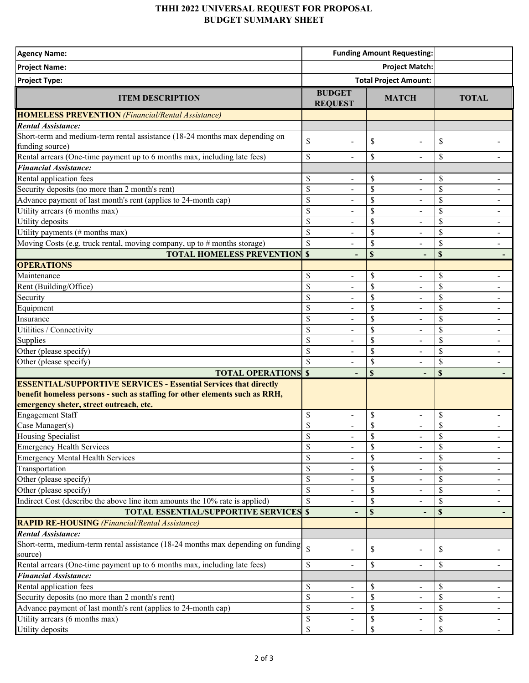## **THHI 2022 UNIVERSAL REQUEST FOR PROPOSAL BUDGET SUMMARY SHEET**

| <b>Agency Name:</b>                                                              | <b>Funding Amount Requesting:</b> |                                |                                                       |
|----------------------------------------------------------------------------------|-----------------------------------|--------------------------------|-------------------------------------------------------|
| <b>Project Name:</b>                                                             | <b>Project Match:</b>             |                                |                                                       |
| <b>Project Type:</b>                                                             | <b>Total Project Amount:</b>      |                                |                                                       |
|                                                                                  | <b>BUDGET</b>                     |                                |                                                       |
| <b>ITEM DESCRIPTION</b>                                                          | <b>REQUEST</b>                    | <b>MATCH</b>                   | <b>TOTAL</b>                                          |
| <b>HOMELESS PREVENTION</b> (Financial/Rental Assistance)                         |                                   |                                |                                                       |
| <b>Rental Assistance:</b>                                                        |                                   |                                |                                                       |
| Short-term and medium-term rental assistance (18-24 months max depending on      | \$<br>$\blacksquare$              | \$<br>$\blacksquare$           | \$                                                    |
| funding source)                                                                  |                                   |                                |                                                       |
| Rental arrears (One-time payment up to 6 months max, including late fees)        | \$<br>$\overline{a}$              | \$<br>$\blacksquare$           | \$                                                    |
| <b>Financial Assistance:</b>                                                     |                                   |                                |                                                       |
| Rental application fees                                                          | \$                                | \$                             | \$                                                    |
| Security deposits (no more than 2 month's rent)                                  | \$                                | \$                             | \$                                                    |
| Advance payment of last month's rent (applies to 24-month cap)                   | \$                                | \$                             | \$                                                    |
| Utility arrears (6 months max)                                                   | \$<br>$\blacksquare$              | \$<br>$\overline{a}$           | $\mathcal{S}$<br>$\overline{\phantom{a}}$             |
| Utility deposits                                                                 | \$                                | \$<br>÷,                       | \$                                                    |
| Utility payments (# months max)                                                  | \$                                | \$                             | \$<br>$\overline{\phantom{a}}$                        |
| Moving Costs (e.g. truck rental, moving company, up to # months storage)         | \$                                | \$                             | \$<br>$\overline{\phantom{a}}$                        |
| <b>TOTAL HOMELESS PREVENTION \$</b>                                              | $\overline{\phantom{a}}$          | \$<br>۰                        | $\boldsymbol{\mathsf{S}}$<br>$\overline{\phantom{a}}$ |
| <b>OPERATIONS</b>                                                                |                                   |                                |                                                       |
| Maintenance                                                                      | \$<br>$\overline{a}$              | \$<br>$\overline{\phantom{a}}$ | \$<br>$\overline{\phantom{a}}$                        |
| Rent (Building/Office)                                                           | \$                                | \$                             | \$                                                    |
| Security                                                                         | \$                                | \$<br>$\blacksquare$           | \$                                                    |
| Equipment                                                                        | \$                                | \$                             | \$                                                    |
| Insurance                                                                        | \$<br>$\blacksquare$              | \$<br>$\overline{a}$           | \$                                                    |
| Utilities / Connectivity                                                         | \$                                | \$<br>$\blacksquare$           | $\mathbb{S}$                                          |
| Supplies                                                                         | \$                                | \$<br>$\sim$                   | \$                                                    |
| Other (please specify)                                                           | $\overline{\mathcal{S}}$          | \$<br>$\overline{a}$           | $\overline{\mathcal{S}}$<br>$\overline{\phantom{a}}$  |
| Other (please specify)                                                           | \$                                | \$                             | \$<br>$\overline{\phantom{a}}$                        |
| <b>TOTAL OPERATIONS \$</b>                                                       | -                                 | \$<br>٠                        | $\mathbb S$                                           |
| <b>ESSENTIAL/SUPPORTIVE SERVICES - Essential Services that directly</b>          |                                   |                                |                                                       |
| benefit homeless persons - such as staffing for other elements such as RRH,      |                                   |                                |                                                       |
| emergency sheter, street outreach, etc.                                          |                                   |                                |                                                       |
| <b>Engagement Staff</b>                                                          | \$<br>$\overline{\phantom{a}}$    | \$<br>$\overline{\phantom{a}}$ | \$<br>$\blacksquare$                                  |
| Case Manager(s)                                                                  | \$<br>$\blacksquare$              | \$<br>$\blacksquare$           | \$                                                    |
| <b>Housing Specialist</b>                                                        | \$<br>$\overline{\phantom{a}}$    | \$<br>$\overline{\phantom{a}}$ | \$<br>$\overline{\phantom{a}}$                        |
| <b>Emergency Health Services</b>                                                 | \$                                | \$                             | \$                                                    |
| <b>Emergency Mental Health Services</b>                                          | \$                                | \$                             | \$                                                    |
| Transportation                                                                   | \$                                | \$                             | \$<br>$\overline{\phantom{a}}$                        |
| Other (please specify)                                                           | $\mathbb{S}$                      | \$                             | \$                                                    |
| Other (please specify)                                                           | $\mathbf S$                       | \$                             | $\mathbb{S}$<br>$\overline{\phantom{a}}$              |
| Indirect Cost (describe the above line item amounts the 10% rate is applied)     | \$                                | \$                             | \$                                                    |
| <b>TOTAL ESSENTIAL/SUPPORTIVE SERVICES \$</b>                                    |                                   | \$                             | $\mathbf{s}$                                          |
| <b>RAPID RE-HOUSING</b> (Financial/Rental Assistance)                            |                                   |                                |                                                       |
| Rental Assistance:                                                               |                                   |                                |                                                       |
| Short-term, medium-term rental assistance (18-24 months max depending on funding | $\mathbf{\hat{S}}$                | \$                             | \$                                                    |
| source)                                                                          |                                   |                                |                                                       |
| Rental arrears (One-time payment up to 6 months max, including late fees)        | \$<br>$\blacksquare$              | \$<br>$\blacksquare$           | \$<br>$\overline{\phantom{a}}$                        |
| <b>Financial Assistance:</b>                                                     |                                   |                                |                                                       |
| Rental application fees                                                          | \$                                | \$<br>$\overline{\phantom{a}}$ | \$                                                    |
| Security deposits (no more than 2 month's rent)                                  | \$<br>$\overline{a}$              | \$<br>$\blacksquare$           | \$                                                    |
| Advance payment of last month's rent (applies to 24-month cap)                   | \$                                | \$                             | \$                                                    |
| Utility arrears (6 months max)                                                   | \$                                | \$                             | \$                                                    |
| Utility deposits                                                                 | \$                                | \$                             | \$<br>$\overline{\phantom{a}}$                        |